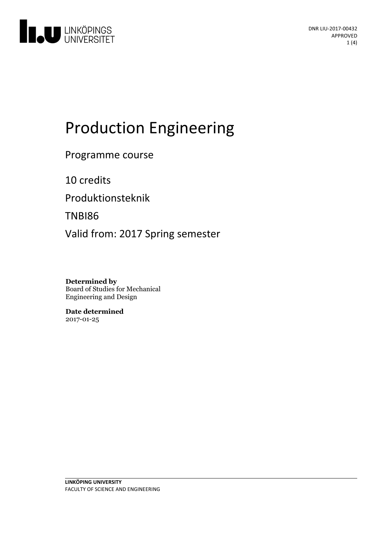

# Production Engineering

Programme course

10 credits

Produktionsteknik

TNBI86

Valid from: 2017 Spring semester

**Determined by** Board of Studies for Mechanical Engineering and Design

**Date determined** 2017-01-25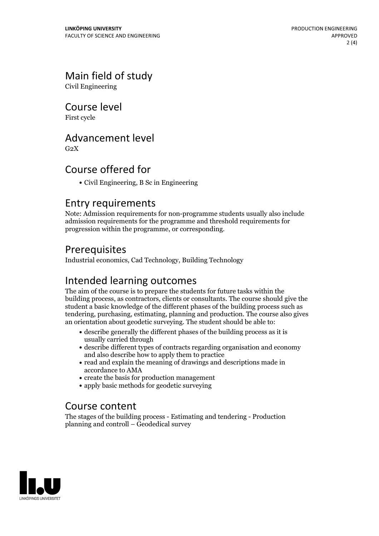# Main field of study

Civil Engineering

Course level

First cycle

## Advancement level

 $G<sub>2</sub>X$ 

## Course offered for

Civil Engineering, B Sc in Engineering

#### Entry requirements

Note: Admission requirements for non-programme students usually also include admission requirements for the programme and threshold requirements for progression within the programme, or corresponding.

## Prerequisites

Industrial economics, Cad Technology, Building Technology

## Intended learning outcomes

The aim of the course is to prepare the students for future tasks within the building process, as contractors, clients or consultants. The course should give the student a basic knowledge of the different phases of the building process such as tendering, purchasing, estimating, planning and production. The course also gives an orientation about geodetic surveying. The student should be able to:

- describe generally the different phases of the building process as it is usually carried through
- describe different types of contracts regarding organisation and economy and also describe how to apply them to practice
- read and explain the meaning of drawings and descriptions made in accordance to AMA
- create the basis for production management
- apply basic methods for geodetic surveying

#### Course content

The stages of the building process - Estimating and tendering - Production planning and controll – Geodedical survey

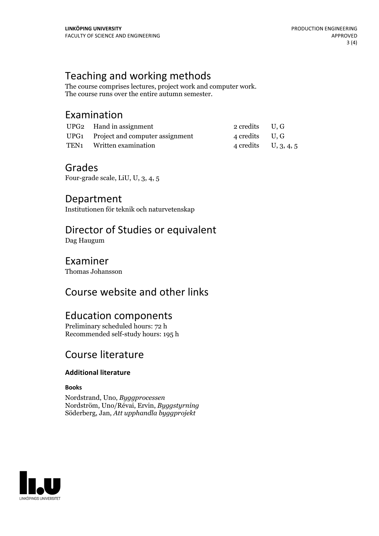## Teaching and working methods

The course comprises lectures, project work and computer work. The course runs over the entire autumn semester.

## Examination

| UPG <sub>2</sub> Hand in assignment  | 2 credits U.G          |  |
|--------------------------------------|------------------------|--|
| UPG1 Project and computer assignment | 4 credits U, G         |  |
| TEN <sub>1</sub> Written examination | 4 credits U, $3, 4, 5$ |  |

#### Grades

Four-grade scale, LiU, U, 3, 4, 5

Department Institutionen för teknik och naturvetenskap

## Director of Studies or equivalent

Dag Haugum

## Examiner

Thomas Johansson

## Course website and other links

## Education components

Preliminary scheduled hours: 72 h Recommended self-study hours: 195 h

## Course literature

#### **Additional literature**

#### **Books**

Nordstrand, Uno, *Byggprocessen* Nordström, Uno/Révai, Ervin, *Byggstyrning* Söderberg, Jan, *Att upphandla byggprojekt*